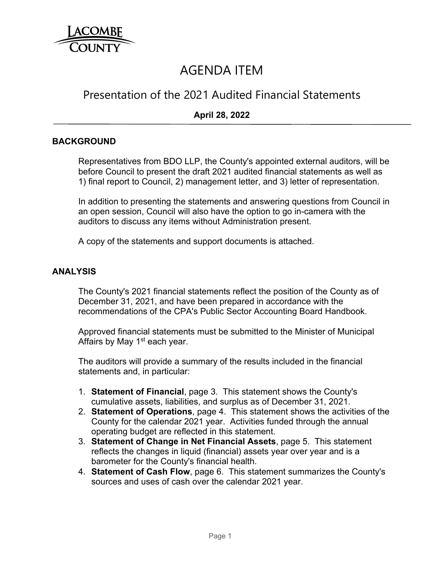

# AGENDA ITEM

# Presentation of the 2021 Audited Financial Statements

## **April 28, 2022**

#### **BACKGROUND**

Representatives from BDO LLP, the County's appointed external auditors, will be before Council to present the draft 2021 audited financial statements as well as 1) final report to Council, 2) management letter, and 3) letter of representation.

In addition to presenting the statements and answering questions from Council in an open session, Council will also have the option to go in-camera with the auditors to discuss any items without Administration present.

A copy of the statements and support documents is attached.

#### **ANALYSIS**

The County's 2021 financial statements reflect the position of the County as of December 31, 2021, and have been prepared in accordance with the recommendations of the CPA's Public Sector Accounting Board Handbook.

Approved financial statements must be submitted to the Minister of Municipal Affairs by May 1<sup>st</sup> each year.

The auditors will provide a summary of the results included in the financial statements and, in particular:

- 1. **Statement of Financial**, page 3. This statement shows the County's cumulative assets, liabilities, and surplus as of December 31, 2021.
- 2. **Statement of Operations**, page 4. This statement shows the activities of the County for the calendar 2021 year. Activities funded through the annual operating budget are reflected in this statement.
- 3. **Statement of Change in Net Financial Assets**, page 5. This statement reflects the changes in liquid (financial) assets year over year and is a barometer for the County's financial health.
- 4. **Statement of Cash Flow**, page 6. This statement summarizes the County's sources and uses of cash over the calendar 2021 year.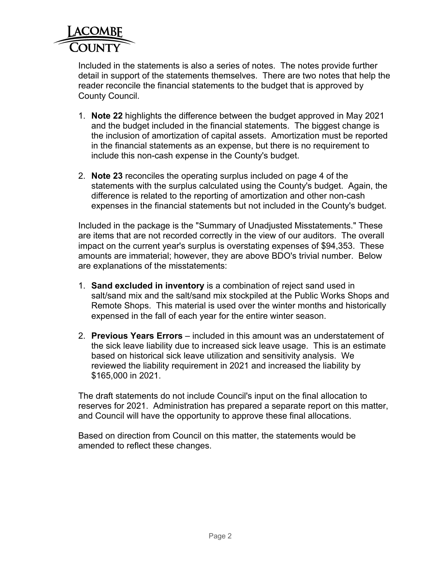

Included in the statements is also a series of notes. The notes provide further detail in support of the statements themselves. There are two notes that help the reader reconcile the financial statements to the budget that is approved by County Council.

- 1. **Note 22** highlights the difference between the budget approved in May 2021 and the budget included in the financial statements. The biggest change is the inclusion of amortization of capital assets. Amortization must be reported in the financial statements as an expense, but there is no requirement to include this non-cash expense in the County's budget.
- 2. **Note 23** reconciles the operating surplus included on page 4 of the statements with the surplus calculated using the County's budget. Again, the difference is related to the reporting of amortization and other non-cash expenses in the financial statements but not included in the County's budget.

Included in the package is the "Summary of Unadjusted Misstatements." These are items that are not recorded correctly in the view of our auditors. The overall impact on the current year's surplus is overstating expenses of \$94,353. These amounts are immaterial; however, they are above BDO's trivial number. Below are explanations of the misstatements:

- 1. **Sand excluded in inventory** is a combination of reject sand used in salt/sand mix and the salt/sand mix stockpiled at the Public Works Shops and Remote Shops. This material is used over the winter months and historically expensed in the fall of each year for the entire winter season.
- 2. **Previous Years Errors** included in this amount was an understatement of the sick leave liability due to increased sick leave usage. This is an estimate based on historical sick leave utilization and sensitivity analysis. We reviewed the liability requirement in 2021 and increased the liability by \$165,000 in 2021.

The draft statements do not include Council's input on the final allocation to reserves for 2021. Administration has prepared a separate report on this matter, and Council will have the opportunity to approve these final allocations.

Based on direction from Council on this matter, the statements would be amended to reflect these changes.